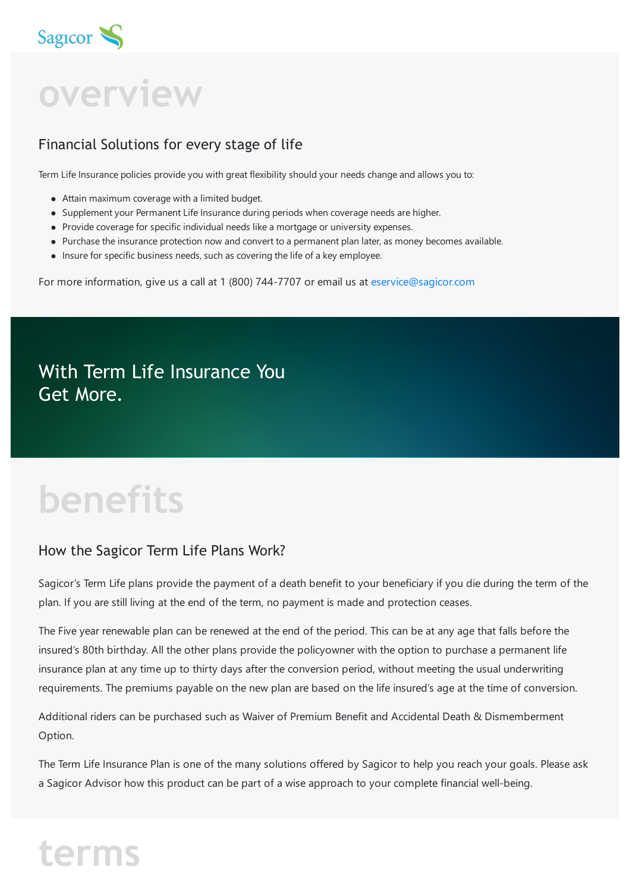

**overview**

### Financial Solutions for every stage of life

Term Life Insurance policies provide you with great flexibility should your needs change and allows you to:

- Attain maximum coverage with a limited budget.
- Supplement your Permanent Life Insurance during periods when coverage needs are higher.
- Provide coverage for specific individual needs like a mortgage or university expenses.
- Purchase the insurance protection now and convert to a permanent plan later, as money becomes available.
- Insure for specific business needs, such as covering the life of a key employee.

For more information, give us a call at 1 (800) 744-7707 or email us at [eservice@sagicor.com](mailto:eservice@sagicor.com?subject=Insurance%20Product%20Queries)

With Term Life Insurance You Get More.

# **benefits**

#### How the Sagicor Term Life Plans Work?

Sagicor's Term Life plans provide the payment of a death benefit to your beneficiary if you die during the term of the plan. If you are still living at the end of the term, no payment is made and protection ceases.

The Five year renewable plan can be renewed at the end of the period. This can be at any age that falls before the insured's 80th birthday. All the other plans provide the policyowner with the option to purchase a permanent life insurance plan at any time up to thirty days after the conversion period, without meeting the usual underwriting requirements. The premiums payable on the new plan are based on the life insured's age at the time of conversion.

Additional riders can be purchased such as Waiver of Premium Benefit and Accidental Death & Dismemberment Option.

The Term Life Insurance Plan is one of the many solutions offered by Sagicor to help you reach your goals. Please ask a Sagicor Advisor how this product can be part of a wise approach to your complete financial well-being.

# **terms**